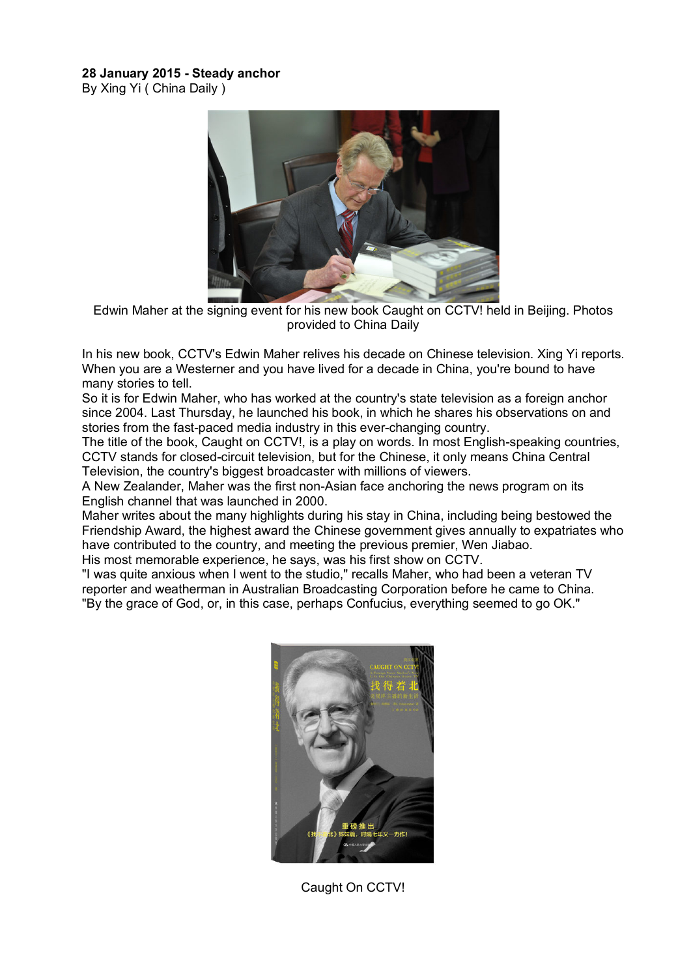## **28 January 2015 - Steady anchor**

By Xing Yi ( China Daily )



Edwin Maher at the signing event for his new book Caught on CCTV! held in Beijing. Photos provided to China Daily

In his new book, CCTV's Edwin Maher relives his decade on Chinese television. Xing Yi reports. When you are a Westerner and you have lived for a decade in China, you're bound to have many stories to tell.

So it is for Edwin Maher, who has worked at the country's state television as a foreign anchor since 2004. Last Thursday, he launched his book, in which he shares his observations on and stories from the fast-paced media industry in this ever-changing country.

The title of the book, Caught on CCTV!, is a play on words. In most English-speaking countries, CCTV stands for closed-circuit television, but for the Chinese, it only means China Central Television, the country's biggest broadcaster with millions of viewers.

A New Zealander, Maher was the first non-Asian face anchoring the news program on its English channel that was launched in 2000.

Maher writes about the many highlights during his stay in China, including being bestowed the Friendship Award, the highest award the Chinese government gives annually to expatriates who have contributed to the country, and meeting the previous premier, Wen Jiabao.

His most memorable experience, he says, was his first show on CCTV.

"I was quite anxious when I went to the studio," recalls Maher, who had been a veteran TV reporter and weatherman in Australian Broadcasting Corporation before he came to China. "By the grace of God, or, in this case, perhaps Confucius, everything seemed to go OK."



Caught On CCTV!